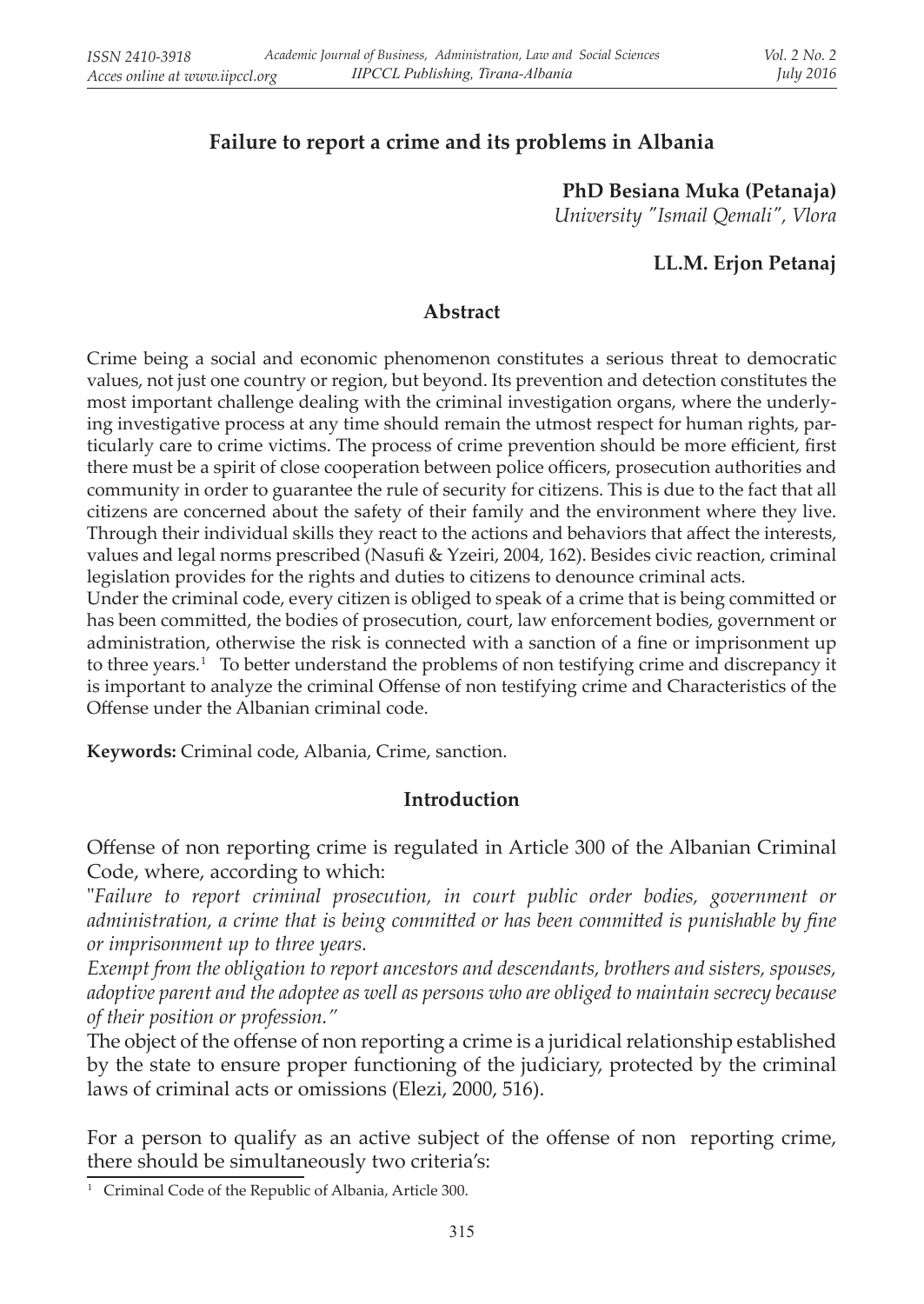# **Failure to report a crime and its problems in Albania**

**PhD Besiana Muka (Petanaja)** *University "Ismail Qemali", Vlora*

## **LL.M. Erjon Petanaj**

#### **Abstract**

Crime being a social and economic phenomenon constitutes a serious threat to democratic values, not just one country or region, but beyond. Its prevention and detection constitutes the most important challenge dealing with the criminal investigation organs, where the underlying investigative process at any time should remain the utmost respect for human rights, particularly care to crime victims. The process of crime prevention should be more efficient, first there must be a spirit of close cooperation between police officers, prosecution authorities and community in order to guarantee the rule of security for citizens. This is due to the fact that all citizens are concerned about the safety of their family and the environment where they live. Through their individual skills they react to the actions and behaviors that affect the interests, values and legal norms prescribed (Nasufi & Yzeiri, 2004, 162). Besides civic reaction, criminal legislation provides for the rights and duties to citizens to denounce criminal acts.

Under the criminal code, every citizen is obliged to speak of a crime that is being committed or has been committed, the bodies of prosecution, court, law enforcement bodies, government or administration, otherwise the risk is connected with a sanction of a fine or imprisonment up to three years. 1 To better understand the problems of non testifying crime and discrepancy it is important to analyze the criminal Offense of non testifying crime and Characteristics of the Offense under the Albanian criminal code.

**Keywords:** Criminal code, Albania, Crime, sanction.

#### **Introduction**

Offense of non reporting crime is regulated in Article 300 of the Albanian Criminal Code, where, according to which:

"*Failure to report criminal prosecution, in court public order bodies, government or administration, a crime that is being committed or has been committed is punishable by fine or imprisonment up to three years.*

*Exempt from the obligation to report ancestors and descendants, brothers and sisters, spouses, adoptive parent and the adoptee as well as persons who are obliged to maintain secrecy because of their position or profession."*

The object of the offense of non reporting a crime is a juridical relationship established by the state to ensure proper functioning of the judiciary, protected by the criminal laws of criminal acts or omissions (Elezi, 2000, 516).

For a person to qualify as an active subject of the offense of non reporting crime, there should be simultaneously two criteria's:

<sup>&</sup>lt;sup>1</sup> Criminal Code of the Republic of Albania, Article 300.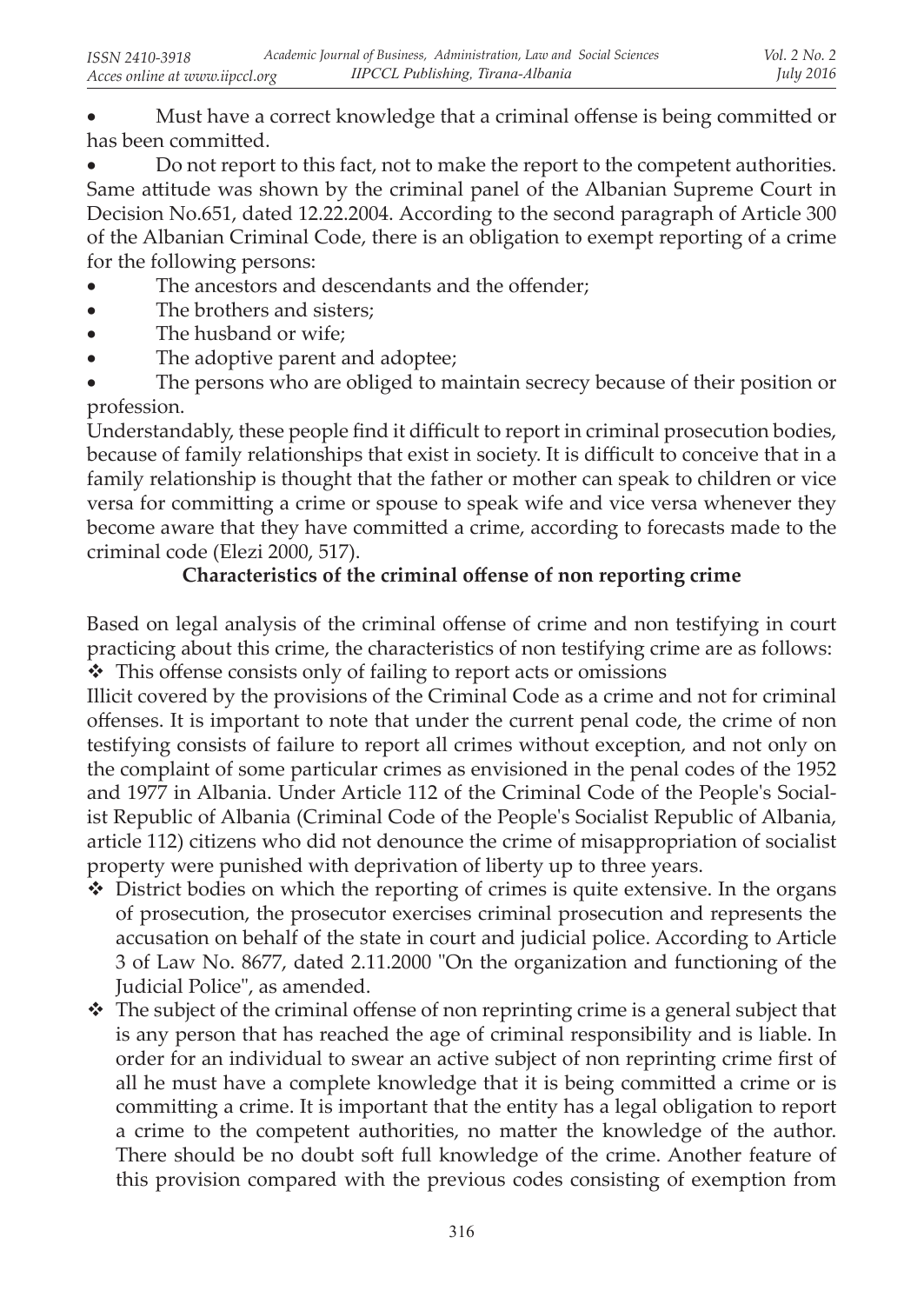Must have a correct knowledge that a criminal offense is being committed or has been committed.

Do not report to this fact, not to make the report to the competent authorities. Same attitude was shown by the criminal panel of the Albanian Supreme Court in Decision No.651, dated 12.22.2004. According to the second paragraph of Article 300 of the Albanian Criminal Code, there is an obligation to exempt reporting of a crime for the following persons:

- The ancestors and descendants and the offender;
- The brothers and sisters:
- The husband or wife;
- The adoptive parent and adoptee;

The persons who are obliged to maintain secrecy because of their position or profession.

Understandably, these people find it difficult to report in criminal prosecution bodies, because of family relationships that exist in society. It is difficult to conceive that in a family relationship is thought that the father or mother can speak to children or vice versa for committing a crime or spouse to speak wife and vice versa whenever they become aware that they have committed a crime, according to forecasts made to the criminal code (Elezi 2000, 517).

# **Characteristics of the criminal offense of non reporting crime**

Based on legal analysis of the criminal offense of crime and non testifying in court practicing about this crime, the characteristics of non testifying crime are as follows: This offense consists only of failing to report acts or omissions

Illicit covered by the provisions of the Criminal Code as a crime and not for criminal offenses. It is important to note that under the current penal code, the crime of non testifying consists of failure to report all crimes without exception, and not only on the complaint of some particular crimes as envisioned in the penal codes of the 1952 and 1977 in Albania. Under Article 112 of the Criminal Code of the People's Socialist Republic of Albania (Criminal Code of the People's Socialist Republic of Albania, article 112) citizens who did not denounce the crime of misappropriation of socialist property were punished with deprivation of liberty up to three years.

- $\bullet$  District bodies on which the reporting of crimes is quite extensive. In the organs of prosecution, the prosecutor exercises criminal prosecution and represents the accusation on behalf of the state in court and judicial police. According to Article 3 of Law No. 8677, dated 2.11.2000 "On the organization and functioning of the Judicial Police", as amended.
- $\cdot \cdot$  The subject of the criminal offense of non reprinting crime is a general subject that is any person that has reached the age of criminal responsibility and is liable. In order for an individual to swear an active subject of non reprinting crime first of all he must have a complete knowledge that it is being committed a crime or is committing a crime. It is important that the entity has a legal obligation to report a crime to the competent authorities, no matter the knowledge of the author. There should be no doubt soft full knowledge of the crime. Another feature of this provision compared with the previous codes consisting of exemption from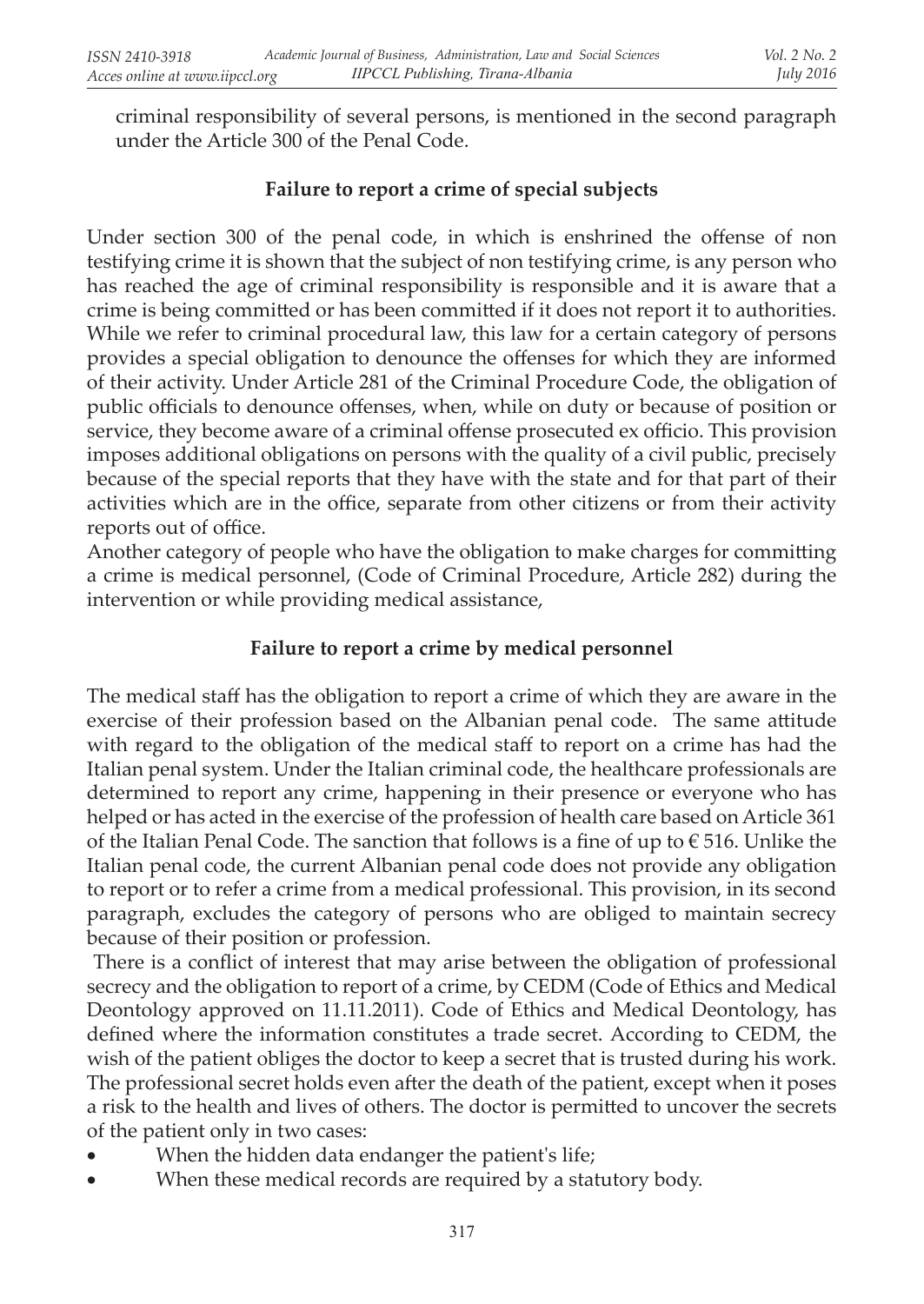criminal responsibility of several persons, is mentioned in the second paragraph under the Article 300 of the Penal Code.

## **Failure to report a crime of special subjects**

Under section 300 of the penal code, in which is enshrined the offense of non testifying crime it is shown that the subject of non testifying crime, is any person who has reached the age of criminal responsibility is responsible and it is aware that a crime is being committed or has been committed if it does not report it to authorities. While we refer to criminal procedural law, this law for a certain category of persons provides a special obligation to denounce the offenses for which they are informed of their activity. Under Article 281 of the Criminal Procedure Code, the obligation of public officials to denounce offenses, when, while on duty or because of position or service, they become aware of a criminal offense prosecuted ex officio. This provision imposes additional obligations on persons with the quality of a civil public, precisely because of the special reports that they have with the state and for that part of their activities which are in the office, separate from other citizens or from their activity reports out of office.

Another category of people who have the obligation to make charges for committing a crime is medical personnel, (Code of Criminal Procedure, Article 282) during the intervention or while providing medical assistance,

### **Failure to report a crime by medical personnel**

The medical staff has the obligation to report a crime of which they are aware in the exercise of their profession based on the Albanian penal code. The same attitude with regard to the obligation of the medical staff to report on a crime has had the Italian penal system. Under the Italian criminal code, the healthcare professionals are determined to report any crime, happening in their presence or everyone who has helped or has acted in the exercise of the profession of health care based on Article 361 of the Italian Penal Code. The sanction that follows is a fine of up to  $\epsilon$  516. Unlike the Italian penal code, the current Albanian penal code does not provide any obligation to report or to refer a crime from a medical professional. This provision, in its second paragraph, excludes the category of persons who are obliged to maintain secrecy because of their position or profession.

There is a conflict of interest that may arise between the obligation of professional secrecy and the obligation to report of a crime, by CEDM (Code of Ethics and Medical Deontology approved on 11.11.2011). Code of Ethics and Medical Deontology, has defined where the information constitutes a trade secret. According to CEDM, the wish of the patient obliges the doctor to keep a secret that is trusted during his work. The professional secret holds even after the death of the patient, except when it poses a risk to the health and lives of others. The doctor is permitted to uncover the secrets of the patient only in two cases:

- When the hidden data endanger the patient's life;
- When these medical records are required by a statutory body.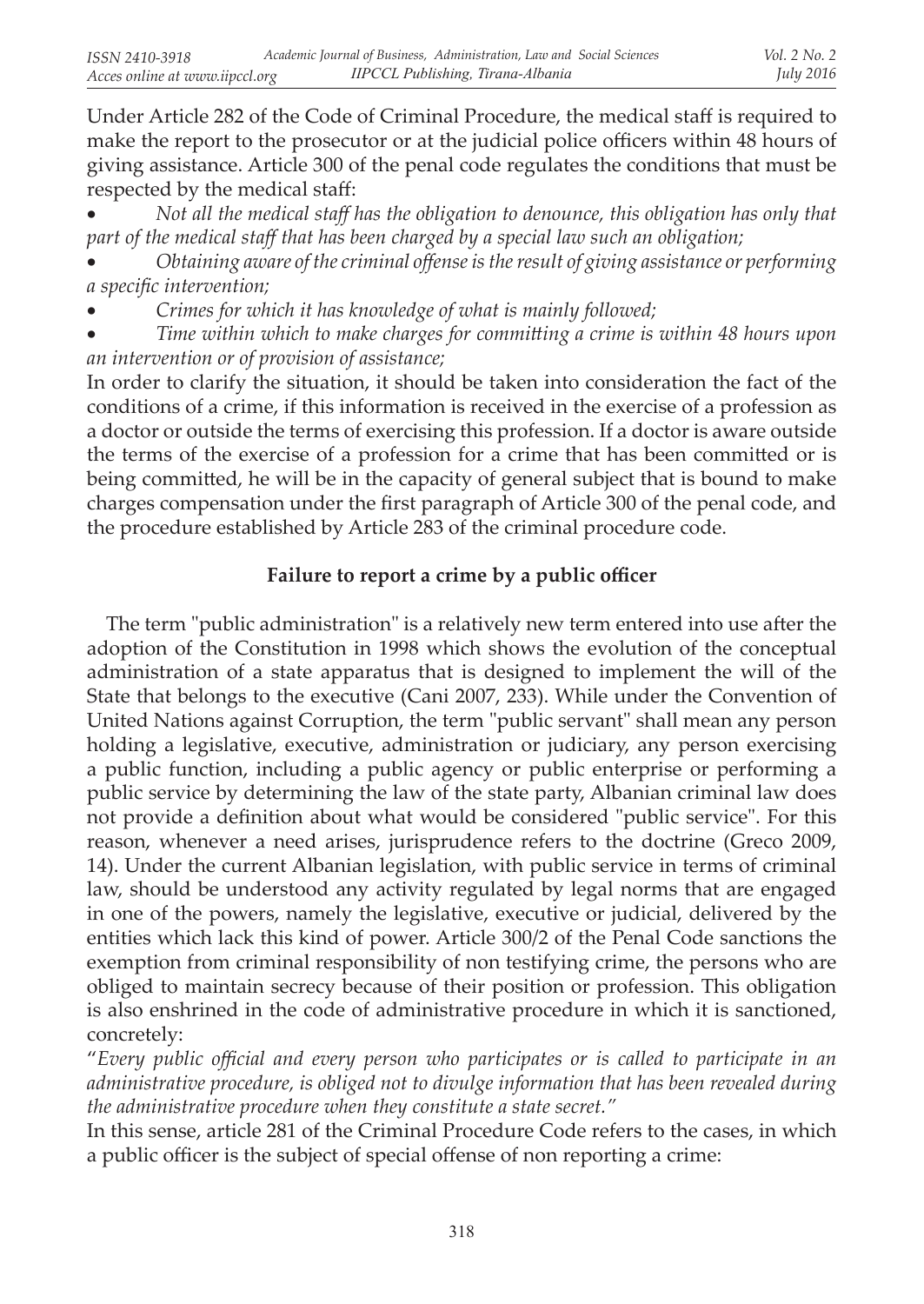Under Article 282 of the Code of Criminal Procedure, the medical staff is required to make the report to the prosecutor or at the judicial police officers within 48 hours of giving assistance. Article 300 of the penal code regulates the conditions that must be respected by the medical staff:

Not all the medical staff has the obligation to denounce, this obligation has only that *part of the medical staff that has been charged by a special law such an obligation;*

*Obtaining aware of the criminal offense is the result of giving assistance or performing a specific intervention;*

Crimes for which it has knowledge of what is mainly followed;

Time within which to make charges for committing a crime is within 48 hours upon *an intervention or of provision of assistance;*

In order to clarify the situation, it should be taken into consideration the fact of the conditions of a crime, if this information is received in the exercise of a profession as a doctor or outside the terms of exercising this profession. If a doctor is aware outside the terms of the exercise of a profession for a crime that has been committed or is being committed, he will be in the capacity of general subject that is bound to make charges compensation under the first paragraph of Article 300 of the penal code, and the procedure established by Article 283 of the criminal procedure code.

# **Failure to report a crime by a public officer**

 The term "public administration" is a relatively new term entered into use after the adoption of the Constitution in 1998 which shows the evolution of the conceptual administration of a state apparatus that is designed to implement the will of the State that belongs to the executive (Cani 2007, 233). While under the Convention of United Nations against Corruption, the term "public servant" shall mean any person holding a legislative, executive, administration or judiciary, any person exercising a public function, including a public agency or public enterprise or performing a public service by determining the law of the state party, Albanian criminal law does not provide a definition about what would be considered "public service". For this reason, whenever a need arises, jurisprudence refers to the doctrine (Greco 2009, 14). Under the current Albanian legislation, with public service in terms of criminal law, should be understood any activity regulated by legal norms that are engaged in one of the powers, namely the legislative, executive or judicial, delivered by the entities which lack this kind of power. Article 300/2 of the Penal Code sanctions the exemption from criminal responsibility of non testifying crime, the persons who are obliged to maintain secrecy because of their position or profession. This obligation is also enshrined in the code of administrative procedure in which it is sanctioned, concretely:

"*Every public official and every person who participates or is called to participate in an administrative procedure, is obliged not to divulge information that has been revealed during the administrative procedure when they constitute a state secret."*

In this sense, article 281 of the Criminal Procedure Code refers to the cases, in which a public officer is the subject of special offense of non reporting a crime: